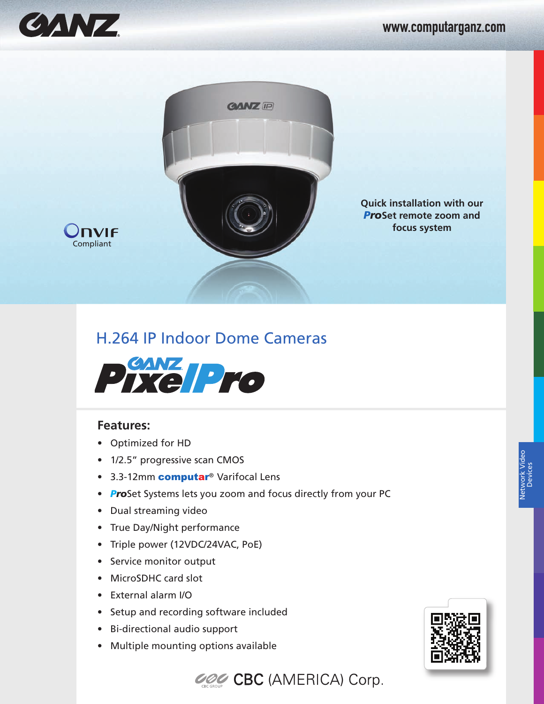

**Compliant** 

IVIF

## www.computarganz.com



**Quick installation with our** *Pro***Set remote zoom and focus system**

## H.264 IP Indoor Dome Cameras



## **Features:**

- Optimized for HD
- 1/2.5" progressive scan CMOS
- 3.3-12mm **computar®** Varifocal Lens
- *Pro*Set Systems lets you zoom and focus directly from your PC
- Dual streaming video
- True Day/Night performance
- Triple power (12VDC/24VAC, PoE)
- Service monitor output
- MicroSDHC card slot
- External alarm I/O
- Setup and recording software included
- Bi-directional audio support
- Multiple mounting options available